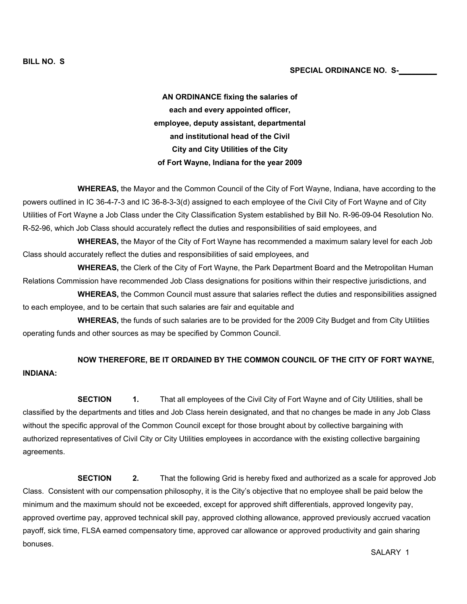AN ORDINANCE fixing the salaries of each and every appointed officer, employee, deputy assistant, departmental and institutional head of the Civil City and City Utilities of the City of Fort Wayne, Indiana for the year 2009

 WHEREAS, the Mayor and the Common Council of the City of Fort Wayne, Indiana, have according to the powers outlined in IC 36-4-7-3 and IC 36-8-3-3(d) assigned to each employee of the Civil City of Fort Wayne and of City Utilities of Fort Wayne a Job Class under the City Classification System established by Bill No. R-96-09-04 Resolution No. R-52-96, which Job Class should accurately reflect the duties and responsibilities of said employees, and

 WHEREAS, the Mayor of the City of Fort Wayne has recommended a maximum salary level for each Job Class should accurately reflect the duties and responsibilities of said employees, and

 WHEREAS, the Clerk of the City of Fort Wayne, the Park Department Board and the Metropolitan Human Relations Commission have recommended Job Class designations for positions within their respective jurisdictions, and

 WHEREAS, the Common Council must assure that salaries reflect the duties and responsibilities assigned to each employee, and to be certain that such salaries are fair and equitable and

 WHEREAS, the funds of such salaries are to be provided for the 2009 City Budget and from City Utilities operating funds and other sources as may be specified by Common Council.

## NOW THEREFORE, BE IT ORDAINED BY THE COMMON COUNCIL OF THE CITY OF FORT WAYNE, INDIANA:

**SECTION** 1. That all employees of the Civil City of Fort Wayne and of City Utilities, shall be classified by the departments and titles and Job Class herein designated, and that no changes be made in any Job Class without the specific approval of the Common Council except for those brought about by collective bargaining with authorized representatives of Civil City or City Utilities employees in accordance with the existing collective bargaining agreements.

**SECTION** 2. That the following Grid is hereby fixed and authorized as a scale for approved Job Class. Consistent with our compensation philosophy, it is the City's objective that no employee shall be paid below the minimum and the maximum should not be exceeded, except for approved shift differentials, approved longevity pay, approved overtime pay, approved technical skill pay, approved clothing allowance, approved previously accrued vacation payoff, sick time, FLSA earned compensatory time, approved car allowance or approved productivity and gain sharing bonuses.

SALARY 1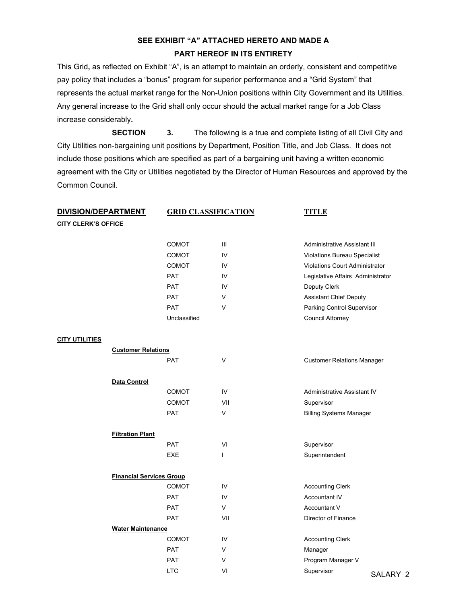# SEE EXHIBIT "A" ATTACHED HERETO AND MADE A PART HEREOF IN ITS ENTIRETY

This Grid, as reflected on Exhibit "A", is an attempt to maintain an orderly, consistent and competitive pay policy that includes a "bonus" program for superior performance and a "Grid System" that represents the actual market range for the Non-Union positions within City Government and its Utilities. Any general increase to the Grid shall only occur should the actual market range for a Job Class increase considerably.

 SECTION 3. The following is a true and complete listing of all Civil City and City Utilities non-bargaining unit positions by Department, Position Title, and Job Class. It does not include those positions which are specified as part of a bargaining unit having a written economic agreement with the City or Utilities negotiated by the Director of Human Resources and approved by the Common Council.

| <u>DIVISION/DEPARTMENT</u> |                                 |              | <b>GRID CLASSIFICATION</b> |                                       | <b>TITLE</b> |  |
|----------------------------|---------------------------------|--------------|----------------------------|---------------------------------------|--------------|--|
| <b>CITY CLERK'S OFFICE</b> |                                 |              |                            |                                       |              |  |
|                            |                                 | <b>COMOT</b> | Ш                          | <b>Administrative Assistant III</b>   |              |  |
|                            |                                 | COMOT        | IV                         | Violations Bureau Specialist          |              |  |
|                            |                                 | <b>COMOT</b> | IV                         | <b>Violations Court Administrator</b> |              |  |
|                            |                                 | <b>PAT</b>   | IV                         | Legislative Affairs Administrator     |              |  |
|                            |                                 | <b>PAT</b>   | IV                         | Deputy Clerk                          |              |  |
|                            |                                 | <b>PAT</b>   | V                          | <b>Assistant Chief Deputy</b>         |              |  |
|                            |                                 | <b>PAT</b>   | V                          | Parking Control Supervisor            |              |  |
|                            |                                 | Unclassified |                            |                                       |              |  |
|                            |                                 |              |                            | Council Attorney                      |              |  |
| <u>CITY UTILITIES</u>      |                                 |              |                            |                                       |              |  |
|                            | <b>Customer Relations</b>       |              |                            |                                       |              |  |
|                            |                                 | <b>PAT</b>   | V                          | <b>Customer Relations Manager</b>     |              |  |
|                            | Data Control                    |              |                            |                                       |              |  |
|                            |                                 | <b>COMOT</b> | IV                         | Administrative Assistant IV           |              |  |
|                            |                                 | COMOT        | VII                        | Supervisor                            |              |  |
|                            |                                 | <b>PAT</b>   | V                          | <b>Billing Systems Manager</b>        |              |  |
|                            | <b>Filtration Plant</b>         |              |                            |                                       |              |  |
|                            |                                 | <b>PAT</b>   | VI                         | Supervisor                            |              |  |
|                            |                                 | <b>EXE</b>   | L                          | Superintendent                        |              |  |
|                            | <b>Financial Services Group</b> |              |                            |                                       |              |  |
|                            |                                 | <b>COMOT</b> | IV                         | <b>Accounting Clerk</b>               |              |  |
|                            |                                 | <b>PAT</b>   | IV                         | Accountant IV                         |              |  |
|                            |                                 | <b>PAT</b>   | V                          | Accountant V                          |              |  |
|                            |                                 | <b>PAT</b>   | VII                        | Director of Finance                   |              |  |
|                            | <b>Water Maintenance</b>        |              |                            |                                       |              |  |
|                            |                                 | COMOT        | IV                         | <b>Accounting Clerk</b>               |              |  |
|                            |                                 | <b>PAT</b>   | V                          | Manager                               |              |  |
|                            |                                 | <b>PAT</b>   | V                          | Program Manager V                     |              |  |
|                            |                                 | <b>LTC</b>   | VI                         | Supervisor                            | SALARY 2     |  |
|                            |                                 |              |                            |                                       |              |  |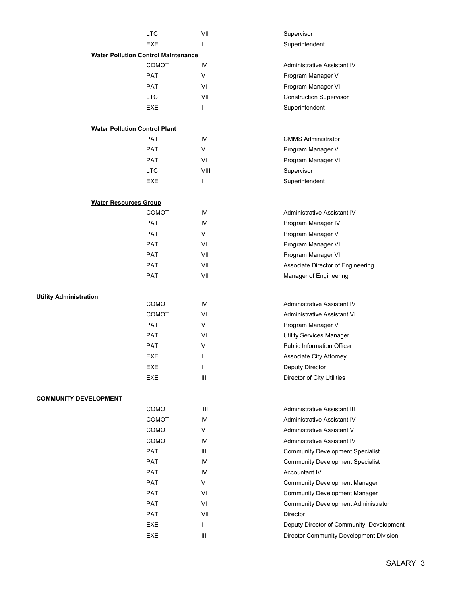|                                      | <b>LTC</b>                                 | VII    | Supervisor                                 |
|--------------------------------------|--------------------------------------------|--------|--------------------------------------------|
|                                      | <b>EXE</b>                                 | L      | Superintendent                             |
|                                      | <b>Water Pollution Control Maintenance</b> |        |                                            |
|                                      | <b>COMOT</b>                               | IV     | Administrative Assistant IV                |
|                                      | PAT                                        | $\vee$ | Program Manager V                          |
|                                      | <b>PAT</b>                                 | VI     | Program Manager VI                         |
|                                      | <b>LTC</b>                                 | VII    | <b>Construction Supervisor</b>             |
|                                      | EXE                                        | T      | Superintendent                             |
|                                      |                                            |        |                                            |
| <b>Water Pollution Control Plant</b> |                                            |        |                                            |
|                                      | <b>PAT</b>                                 | IV     | <b>CMMS Administrator</b>                  |
|                                      | <b>PAT</b>                                 | $\vee$ | Program Manager V                          |
|                                      | <b>PAT</b>                                 | VI     | Program Manager VI                         |
|                                      | <b>LTC</b>                                 | VIII   | Supervisor                                 |
|                                      | EXE                                        | T      | Superintendent                             |
| <b>Water Resources Group</b>         |                                            |        |                                            |
|                                      | <b>COMOT</b>                               | IV     | Administrative Assistant IV                |
|                                      | <b>PAT</b>                                 | IV     | Program Manager IV                         |
|                                      | <b>PAT</b>                                 | V      | Program Manager V                          |
|                                      | <b>PAT</b>                                 | VI     | Program Manager VI                         |
|                                      | <b>PAT</b>                                 | VII    | Program Manager VII                        |
|                                      | <b>PAT</b>                                 | VII    | Associate Director of Engineering          |
|                                      | <b>PAT</b>                                 | VII    | Manager of Engineering                     |
|                                      |                                            |        |                                            |
| <b>Utility Administration</b>        |                                            |        |                                            |
|                                      | COMOT                                      | IV     | Administrative Assistant IV                |
|                                      | COMOT                                      | VI     | <b>Administrative Assistant VI</b>         |
|                                      | <b>PAT</b>                                 | $\vee$ | Program Manager V                          |
|                                      | <b>PAT</b>                                 | VI     | <b>Utility Services Manager</b>            |
|                                      | PAT                                        | $\vee$ | <b>Public Information Officer</b>          |
|                                      | <b>EXE</b>                                 | J      | Associate City Attorney                    |
|                                      | EXE                                        |        | Deputy Director                            |
|                                      | EXE                                        | Ш      | Director of City Utilities                 |
| <b>COMMUNITY DEVELOPMENT</b>         |                                            |        |                                            |
|                                      | COMOT                                      | Ш      | Administrative Assistant III               |
|                                      | COMOT                                      | IV     | Administrative Assistant IV                |
|                                      | <b>COMOT</b>                               | V      | Administrative Assistant V                 |
|                                      | COMOT                                      | IV     | Administrative Assistant IV                |
|                                      | PAT                                        | Ш      | <b>Community Development Specialist</b>    |
|                                      | PAT                                        | IV     | <b>Community Development Specialist</b>    |
|                                      | <b>PAT</b>                                 | IV     | Accountant IV                              |
|                                      | <b>PAT</b>                                 | $\vee$ | <b>Community Development Manager</b>       |
|                                      | <b>PAT</b>                                 | VI     | <b>Community Development Manager</b>       |
|                                      | <b>PAT</b>                                 | VI     | <b>Community Development Administrator</b> |
|                                      | <b>PAT</b>                                 | VII    | Director                                   |
|                                      | EXE                                        | ı      | Deputy Director of Community Development   |
|                                      | EXE                                        | Ш      | Director Community Development Division    |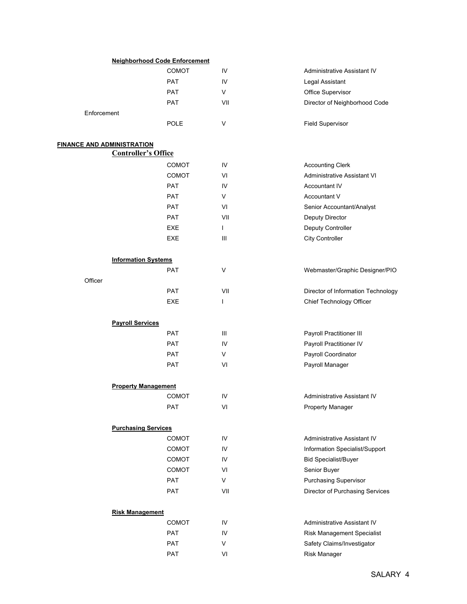|                                                                 | <b>Neighborhood Code Enforcement</b> |                          |                                    |
|-----------------------------------------------------------------|--------------------------------------|--------------------------|------------------------------------|
|                                                                 | COMOT                                | IV                       | <b>Administrative Assistant IV</b> |
|                                                                 | <b>PAT</b>                           | IV                       | Legal Assistant                    |
|                                                                 | <b>PAT</b>                           | V                        | Office Supervisor                  |
|                                                                 | <b>PAT</b>                           | VII                      | Director of Neighborhood Code      |
| Enforcement                                                     |                                      |                          |                                    |
|                                                                 | <b>POLE</b>                          | $\vee$                   | <b>Field Supervisor</b>            |
|                                                                 |                                      |                          |                                    |
| <b>FINANCE AND ADMINISTRATION</b><br><b>Controller's Office</b> |                                      |                          |                                    |
|                                                                 | <b>COMOT</b>                         | IV                       | <b>Accounting Clerk</b>            |
|                                                                 | COMOT                                | VI                       | Administrative Assistant VI        |
|                                                                 | <b>PAT</b>                           | IV                       | Accountant IV                      |
|                                                                 | <b>PAT</b>                           | V                        | Accountant V                       |
|                                                                 | <b>PAT</b>                           | VI                       | Senior Accountant/Analyst          |
|                                                                 | <b>PAT</b>                           | VII                      | Deputy Director                    |
|                                                                 | EXE                                  | $\mathbf{I}$             | Deputy Controller                  |
|                                                                 | <b>EXE</b>                           | $\mathbf{III}$           | City Controller                    |
|                                                                 |                                      |                          |                                    |
| <b>Information Systems</b>                                      |                                      |                          |                                    |
|                                                                 | <b>PAT</b>                           | $\vee$                   | Webmaster/Graphic Designer/PIO     |
| Officer                                                         |                                      |                          |                                    |
|                                                                 | <b>PAT</b>                           | VII                      | Director of Information Technology |
|                                                                 | EXE                                  | $\overline{\phantom{a}}$ | Chief Technology Officer           |
| <b>Payroll Services</b>                                         |                                      |                          |                                    |
|                                                                 | <b>PAT</b>                           | $\mathbf{III}$           | Payroll Practitioner III           |
|                                                                 | <b>PAT</b>                           | IV                       | Payroll Practitioner IV            |
|                                                                 | <b>PAT</b>                           | V                        | Payroll Coordinator                |
|                                                                 | <b>PAT</b>                           | VI                       | Payroll Manager                    |
| <b>Property Management</b>                                      |                                      |                          |                                    |
|                                                                 | <b>COMOT</b>                         | IV                       | Administrative Assistant IV        |
|                                                                 | PAT                                  | VI                       | Property Manager                   |
|                                                                 |                                      |                          |                                    |
| <b>Purchasing Services</b>                                      |                                      |                          |                                    |
|                                                                 | COMOT                                | ${\sf IV}$               | Administrative Assistant IV        |
|                                                                 | COMOT                                | IV                       | Information Specialist/Support     |
|                                                                 | COMOT                                | IV                       | <b>Bid Specialist/Buyer</b>        |
|                                                                 | <b>COMOT</b>                         | VI                       | Senior Buyer                       |
|                                                                 | <b>PAT</b>                           | $\vee$                   | Purchasing Supervisor              |
|                                                                 | <b>PAT</b>                           | VII                      | Director of Purchasing Services    |
| <b>Risk Management</b>                                          |                                      |                          |                                    |
|                                                                 | COMOT                                | IV                       | Administrative Assistant IV        |
|                                                                 | <b>PAT</b>                           | IV                       | Risk Management Specialist         |
|                                                                 | PAT                                  | $\vee$                   | Safety Claims/Investigator         |
|                                                                 | PAT                                  | VI                       | Risk Manager                       |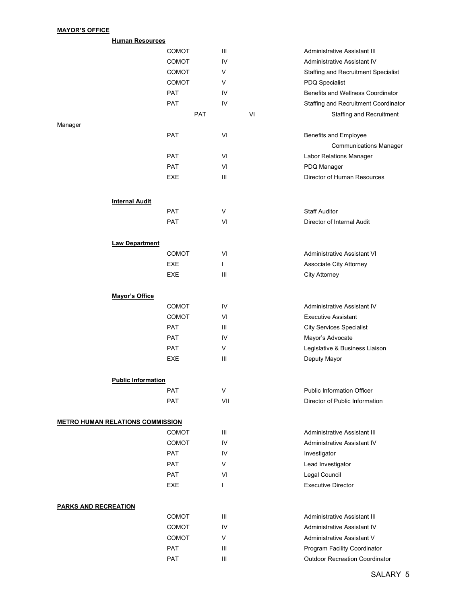## MAYOR'S OFFICE

|         | <b>Human Resources</b>                  |              |                |    |                                       |
|---------|-----------------------------------------|--------------|----------------|----|---------------------------------------|
|         |                                         | <b>COMOT</b> | Ш              |    | Administrative Assistant III          |
|         |                                         | <b>COMOT</b> | IV             |    | Administrative Assistant IV           |
|         |                                         | COMOT        | V              |    | Staffing and Recruitment Specialist   |
|         |                                         | COMOT        | V              |    | <b>PDQ Specialist</b>                 |
|         |                                         | <b>PAT</b>   | IV             |    | Benefits and Wellness Coordinator     |
|         |                                         | PAT          | IV             |    | Staffing and Recruitment Coordinator  |
|         |                                         | PAT          |                | VI | Staffing and Recruitment              |
| Manager |                                         |              |                |    |                                       |
|         |                                         | PAT          | VI             |    | Benefits and Employee                 |
|         |                                         |              |                |    | <b>Communications Manager</b>         |
|         |                                         | <b>PAT</b>   | VI             |    | Labor Relations Manager               |
|         |                                         | <b>PAT</b>   | VI             |    | PDQ Manager                           |
|         |                                         | EXE          | $\mathbf{III}$ |    | Director of Human Resources           |
|         | <b>Internal Audit</b>                   |              |                |    |                                       |
|         |                                         | <b>PAT</b>   | V              |    | <b>Staff Auditor</b>                  |
|         |                                         | <b>PAT</b>   | VI             |    | Director of Internal Audit            |
|         |                                         |              |                |    |                                       |
|         | <b>Law Department</b>                   |              |                |    |                                       |
|         |                                         | <b>COMOT</b> | VI             |    | <b>Administrative Assistant VI</b>    |
|         |                                         | <b>EXE</b>   | $\mathbf{I}$   |    | Associate City Attorney               |
|         |                                         | EXE          | Ш              |    | City Attorney                         |
|         | Mayor's Office                          |              |                |    |                                       |
|         |                                         | COMOT        | IV             |    | Administrative Assistant IV           |
|         |                                         | <b>COMOT</b> | VI             |    | <b>Executive Assistant</b>            |
|         |                                         | PAT          | Ш              |    | <b>City Services Specialist</b>       |
|         |                                         | <b>PAT</b>   | IV             |    | Mayor's Advocate                      |
|         |                                         | <b>PAT</b>   | V              |    | Legislative & Business Liaison        |
|         |                                         | <b>EXE</b>   | Ш              |    | Deputy Mayor                          |
|         | <b>Public Information</b>               |              |                |    |                                       |
|         |                                         | PAT          | V              |    | <b>Public Information Officer</b>     |
|         |                                         | <b>PAT</b>   | VII            |    | Director of Public Information        |
|         | <b>METRO HUMAN RELATIONS COMMISSION</b> |              |                |    |                                       |
|         |                                         | <b>COMOT</b> | $\  \ $        |    | Administrative Assistant III          |
|         |                                         | <b>COMOT</b> | IV             |    | Administrative Assistant IV           |
|         |                                         | <b>PAT</b>   | IV             |    | Investigator                          |
|         |                                         | <b>PAT</b>   | V              |    | Lead Investigator                     |
|         |                                         | <b>PAT</b>   | VI             |    | Legal Council                         |
|         |                                         | <b>EXE</b>   | $\mathbf{I}$   |    | <b>Executive Director</b>             |
|         | <b>PARKS AND RECREATION</b>             |              |                |    |                                       |
|         |                                         | <b>COMOT</b> | Ш              |    | Administrative Assistant III          |
|         |                                         | <b>COMOT</b> | IV             |    | Administrative Assistant IV           |
|         |                                         | <b>COMOT</b> | V              |    | Administrative Assistant V            |
|         |                                         | <b>PAT</b>   | Ш              |    | Program Facility Coordinator          |
|         |                                         | <b>PAT</b>   | Ш              |    | <b>Outdoor Recreation Coordinator</b> |
|         |                                         |              |                |    |                                       |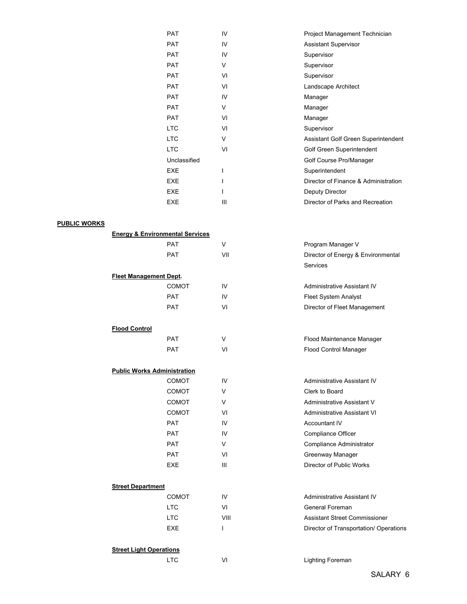| <b>PAT</b>   | IV  | Project Management Technician        |
|--------------|-----|--------------------------------------|
| <b>PAT</b>   | IV  | <b>Assistant Supervisor</b>          |
| <b>PAT</b>   | IV  | Supervisor                           |
| <b>PAT</b>   | V   | Supervisor                           |
| <b>PAT</b>   | VI  | Supervisor                           |
| <b>PAT</b>   | VI  | Landscape Architect                  |
| <b>PAT</b>   | IV  | Manager                              |
| <b>PAT</b>   | V   | Manager                              |
| <b>PAT</b>   | VI  | Manager                              |
| <b>LTC</b>   | VI  | Supervisor                           |
| <b>LTC</b>   | V   | Assistant Golf Green Superintendent  |
| <b>LTC</b>   | VI  | Golf Green Superintendent            |
| Unclassified |     | Golf Course Pro/Manager              |
| <b>EXE</b>   |     | Superintendent                       |
| <b>EXE</b>   |     | Director of Finance & Administration |
| <b>EXE</b>   |     | Deputy Director                      |
| <b>EXE</b>   | III | Director of Parks and Recreation     |

## PUBLIC WORKS

|                                    | <b>Energy &amp; Environmental Services</b> |        |                                        |
|------------------------------------|--------------------------------------------|--------|----------------------------------------|
|                                    | <b>PAT</b>                                 | V      | Program Manager V                      |
|                                    | <b>PAT</b>                                 | VII    | Director of Energy & Environmental     |
|                                    |                                            |        | Services                               |
| <b>Fleet Management Dept.</b>      |                                            |        |                                        |
|                                    | COMOT                                      | IV     | Administrative Assistant IV            |
|                                    | <b>PAT</b>                                 | IV     | Fleet System Analyst                   |
|                                    | <b>PAT</b>                                 | VI     | Director of Fleet Management           |
| <b>Flood Control</b>               |                                            |        |                                        |
|                                    | PAT                                        | V      | Flood Maintenance Manager              |
|                                    | <b>PAT</b>                                 | VI     | Flood Control Manager                  |
| <b>Public Works Administration</b> |                                            |        |                                        |
|                                    | <b>COMOT</b>                               | IV     | Administrative Assistant IV            |
|                                    | <b>COMOT</b>                               | V      | Clerk to Board                         |
|                                    | <b>COMOT</b>                               | $\vee$ | Administrative Assistant V             |
|                                    | <b>COMOT</b>                               | VI     | <b>Administrative Assistant VI</b>     |
|                                    | <b>PAT</b>                                 | IV     | <b>Accountant IV</b>                   |
|                                    | <b>PAT</b>                                 | IV     | Compliance Officer                     |
|                                    | PAT                                        | V      | Compliance Administrator               |
|                                    | <b>PAT</b>                                 | VI     | Greenway Manager                       |
|                                    | <b>EXE</b>                                 | III    | Director of Public Works               |
| <b>Street Department</b>           |                                            |        |                                        |
|                                    | <b>COMOT</b>                               | IV     | Administrative Assistant IV            |
|                                    | <b>LTC</b>                                 | VI     | General Foreman                        |
|                                    | <b>LTC</b>                                 | VIII   | <b>Assistant Street Commissioner</b>   |
|                                    | <b>EXE</b>                                 | T      | Director of Transportation/ Operations |
| .                                  |                                            |        |                                        |

#### **Street Light Operations**

LTC VI VI Lighting Foreman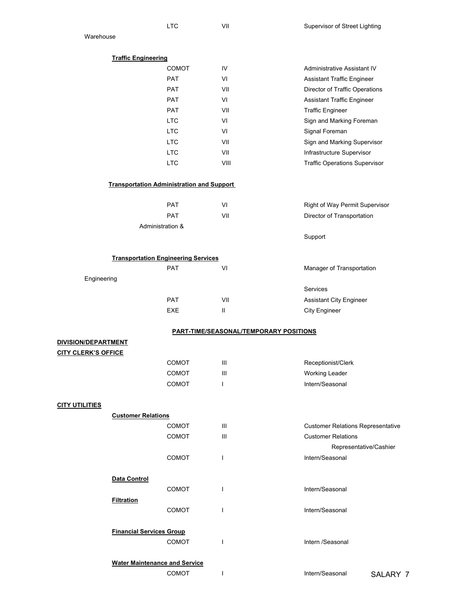|                            |                                 | <b>LTC</b>                                       | VII                                           | Supervisor of Street Lighting            |
|----------------------------|---------------------------------|--------------------------------------------------|-----------------------------------------------|------------------------------------------|
| Warehouse                  |                                 |                                                  |                                               |                                          |
|                            |                                 |                                                  |                                               |                                          |
|                            | <b>Traffic Engineering</b>      |                                                  |                                               |                                          |
|                            |                                 | <b>COMOT</b>                                     | IV                                            | <b>Administrative Assistant IV</b>       |
|                            |                                 | <b>PAT</b>                                       | VI                                            | <b>Assistant Traffic Engineer</b>        |
|                            |                                 | <b>PAT</b>                                       | VII                                           | Director of Traffic Operations           |
|                            |                                 | <b>PAT</b>                                       | VI                                            | Assistant Traffic Engineer               |
|                            |                                 | <b>PAT</b>                                       | VII                                           | <b>Traffic Engineer</b>                  |
|                            |                                 | <b>LTC</b><br><b>LTC</b>                         | VI<br>VI                                      | Sign and Marking Foreman                 |
|                            |                                 | <b>LTC</b>                                       | VII                                           | Signal Foreman                           |
|                            |                                 | <b>LTC</b>                                       | VII                                           | Sign and Marking Supervisor              |
|                            |                                 |                                                  |                                               | Infrastructure Supervisor                |
|                            |                                 | <b>LTC</b>                                       | VIII                                          | <b>Traffic Operations Supervisor</b>     |
|                            |                                 | <b>Transportation Administration and Support</b> |                                               |                                          |
|                            |                                 | <b>PAT</b>                                       | VI                                            | Right of Way Permit Supervisor           |
|                            |                                 | <b>PAT</b>                                       | VII                                           | Director of Transportation               |
|                            |                                 | Administration &                                 |                                               |                                          |
|                            |                                 |                                                  |                                               | Support                                  |
|                            |                                 |                                                  |                                               |                                          |
|                            |                                 | <b>Transportation Engineering Services</b>       |                                               |                                          |
|                            |                                 | <b>PAT</b>                                       | VI                                            | Manager of Transportation                |
| Engineering                |                                 |                                                  |                                               | Services                                 |
|                            |                                 | <b>PAT</b>                                       | VII                                           |                                          |
|                            |                                 | EXE                                              | $\mathbf{II}$                                 | Assistant City Engineer                  |
|                            |                                 |                                                  |                                               | City Engineer                            |
|                            |                                 |                                                  | <b>PART-TIME/SEASONAL/TEMPORARY POSITIONS</b> |                                          |
| DIVISION/DEPARTMENT        |                                 |                                                  |                                               |                                          |
| <b>CITY CLERK'S OFFICE</b> |                                 |                                                  |                                               |                                          |
|                            |                                 | <b>COMOT</b>                                     | Ш                                             | Receptionist/Clerk                       |
|                            |                                 | COMOT                                            | Ш                                             | Working Leader                           |
|                            |                                 | COMOT                                            | $\mathbf{I}$                                  | Intern/Seasonal                          |
| <b>CITY UTILITIES</b>      |                                 |                                                  |                                               |                                          |
|                            | <b>Customer Relations</b>       |                                                  |                                               |                                          |
|                            |                                 | <b>COMOT</b>                                     | Ш                                             | <b>Customer Relations Representative</b> |
|                            |                                 | <b>COMOT</b>                                     | III                                           | <b>Customer Relations</b>                |
|                            |                                 |                                                  |                                               | Representative/Cashier                   |
|                            |                                 | COMOT                                            | $\mathbf{I}$                                  | Intern/Seasonal                          |
|                            |                                 |                                                  |                                               |                                          |
|                            | Data Control                    |                                                  |                                               |                                          |
|                            |                                 | <b>COMOT</b>                                     | T                                             | Intern/Seasonal                          |
|                            | <b>Filtration</b>               |                                                  | I.                                            |                                          |
|                            |                                 | <b>COMOT</b>                                     |                                               | Intern/Seasonal                          |
|                            | <b>Financial Services Group</b> |                                                  |                                               |                                          |
|                            |                                 | <b>COMOT</b>                                     | $\mathbf{I}$                                  | Intern /Seasonal                         |
|                            |                                 |                                                  |                                               |                                          |
|                            |                                 | <b>Water Maintenance and Service</b>             |                                               |                                          |
|                            |                                 | COMOT                                            | $\mathbf{I}$                                  | Intern/Seasonal<br>SALARY 7              |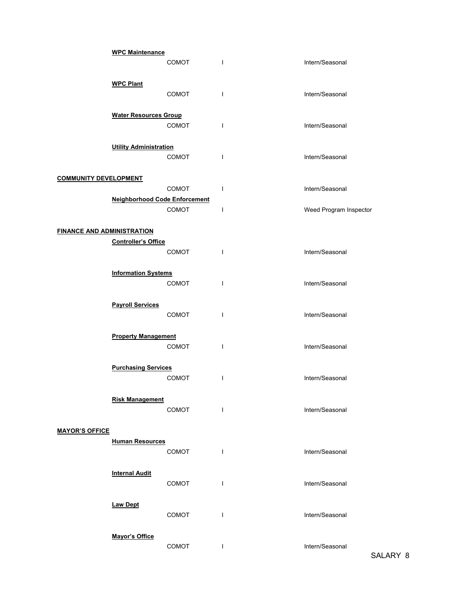|                                   | <b>WPC Maintenance</b>               |              |                          |                        |
|-----------------------------------|--------------------------------------|--------------|--------------------------|------------------------|
|                                   |                                      | <b>COMOT</b> | $\mathbf{I}$             | Intern/Seasonal        |
|                                   |                                      |              |                          |                        |
|                                   | <b>WPC Plant</b>                     |              |                          |                        |
|                                   |                                      | <b>COMOT</b> | $\overline{\phantom{a}}$ | Intern/Seasonal        |
|                                   | <b>Water Resources Group</b>         |              |                          |                        |
|                                   |                                      | COMOT        | $\mathbf{I}$             | Intern/Seasonal        |
|                                   |                                      |              |                          |                        |
|                                   | <b>Utility Administration</b>        |              |                          |                        |
|                                   |                                      | COMOT        | $\mathbf{I}$             | Intern/Seasonal        |
|                                   |                                      |              |                          |                        |
| <b>COMMUNITY DEVELOPMENT</b>      |                                      |              |                          |                        |
|                                   | <b>Neighborhood Code Enforcement</b> | <b>COMOT</b> | $\mathbf{I}$             | Intern/Seasonal        |
|                                   |                                      | COMOT        | $\mathbf{I}$             | Weed Program Inspector |
|                                   |                                      |              |                          |                        |
| <b>FINANCE AND ADMINISTRATION</b> |                                      |              |                          |                        |
|                                   | <b>Controller's Office</b>           |              |                          |                        |
|                                   |                                      | <b>COMOT</b> | $\mathbf{I}$             | Intern/Seasonal        |
|                                   |                                      |              |                          |                        |
|                                   | <b>Information Systems</b>           |              |                          |                        |
|                                   |                                      | <b>COMOT</b> | $\mathbf{I}$             | Intern/Seasonal        |
|                                   | <b>Payroll Services</b>              |              |                          |                        |
|                                   |                                      | <b>COMOT</b> | $\mathbf{I}$             | Intern/Seasonal        |
|                                   |                                      |              |                          |                        |
|                                   | <b>Property Management</b>           |              |                          |                        |
|                                   |                                      | <b>COMOT</b> | $\mathsf{I}$             | Intern/Seasonal        |
|                                   |                                      |              |                          |                        |
|                                   | <b>Purchasing Services</b>           |              |                          |                        |
|                                   |                                      | <b>COMOT</b> | I                        | Intern/Seasonal        |
|                                   |                                      |              |                          |                        |
|                                   | <b>Risk Management</b>               | COMOT        | $\mathbf{I}$             | Intern/Seasonal        |
|                                   |                                      |              |                          |                        |
| <b>MAYOR'S OFFICE</b>             |                                      |              |                          |                        |
|                                   | <b>Human Resources</b>               |              |                          |                        |
|                                   |                                      | COMOT        | $\mathsf{I}$             | Intern/Seasonal        |
|                                   |                                      |              |                          |                        |
|                                   | <b>Internal Audit</b>                |              |                          |                        |
|                                   |                                      | COMOT        | $\mathsf{I}$             | Intern/Seasonal        |
|                                   |                                      |              |                          |                        |
|                                   | <b>Law Dept</b>                      | COMOT        | $\mathbf{I}$             | Intern/Seasonal        |
|                                   |                                      |              |                          |                        |
|                                   | <b>Mayor's Office</b>                |              |                          |                        |
|                                   |                                      | COMOT        | $\mathbf{I}$             | Intern/Seasonal        |
|                                   |                                      |              |                          |                        |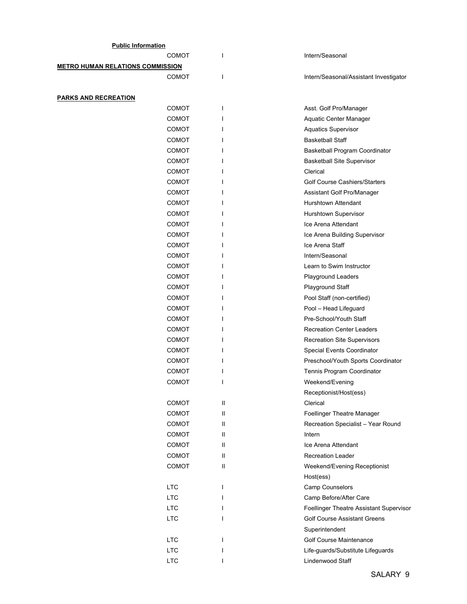| <b>Public Information</b>               |              |   |                                         |
|-----------------------------------------|--------------|---|-----------------------------------------|
|                                         | COMOT        |   | Intern/Seasonal                         |
| <b>METRO HUMAN RELATIONS COMMISSION</b> |              |   |                                         |
|                                         | COMOT        | ı | Intern/Seasonal/Assistant Investigator  |
|                                         |              |   |                                         |
| <b>PARKS AND RECREATION</b>             |              |   |                                         |
|                                         | <b>COMOT</b> | I | Asst. Golf Pro/Manager                  |
|                                         | <b>COMOT</b> |   | Aquatic Center Manager                  |
|                                         | <b>COMOT</b> |   | <b>Aquatics Supervisor</b>              |
|                                         | <b>COMOT</b> |   | <b>Basketball Staff</b>                 |
|                                         | <b>COMOT</b> |   | Basketball Program Coordinator          |
|                                         | COMOT        |   | <b>Basketball Site Supervisor</b>       |
|                                         | <b>COMOT</b> |   | Clerical                                |
|                                         | <b>COMOT</b> |   | <b>Golf Course Cashiers/Starters</b>    |
|                                         | <b>COMOT</b> |   | Assistant Golf Pro/Manager              |
|                                         | <b>COMOT</b> |   | Hurshtown Attendant                     |
|                                         | <b>COMOT</b> |   | Hurshtown Supervisor                    |
|                                         | <b>COMOT</b> |   | Ice Arena Attendant                     |
|                                         | COMOT        |   | Ice Arena Building Supervisor           |
|                                         | <b>COMOT</b> |   | Ice Arena Staff                         |
|                                         | <b>COMOT</b> |   | Intern/Seasonal                         |
|                                         | <b>COMOT</b> |   | Learn to Swim Instructor                |
|                                         | <b>COMOT</b> |   | Playground Leaders                      |
|                                         | <b>COMOT</b> |   | Playground Staff                        |
|                                         | <b>COMOT</b> |   | Pool Staff (non-certified)              |
|                                         | COMOT        |   | Pool - Head Lifeguard                   |
|                                         | <b>COMOT</b> |   | Pre-School/Youth Staff                  |
|                                         | <b>COMOT</b> |   | <b>Recreation Center Leaders</b>        |
|                                         | <b>COMOT</b> |   | <b>Recreation Site Supervisors</b>      |
|                                         | <b>COMOT</b> |   | Special Events Coordinator              |
|                                         | <b>COMOT</b> |   | Preschool/Youth Sports Coordinator      |
|                                         | COMOT        |   | Tennis Program Coordinator              |
|                                         | <b>COMOT</b> |   | Weekend/Evening                         |
|                                         |              |   | Receptionist/Host(ess)                  |
|                                         | <b>COMOT</b> | Ш | Clerical                                |
|                                         | <b>COMOT</b> | Ш | Foellinger Theatre Manager              |
|                                         | <b>COMOT</b> | Ш | Recreation Specialist - Year Round      |
|                                         | <b>COMOT</b> | Ш | Intern                                  |
|                                         | COMOT        | Ш | Ice Arena Attendant                     |
|                                         | <b>COMOT</b> | Ш | <b>Recreation Leader</b>                |
|                                         | COMOT        | Ш | Weekend/Evening Receptionist            |
|                                         |              |   | Host(ess)                               |
| <b>LTC</b>                              |              | ı | Camp Counselors                         |
| <b>LTC</b>                              |              |   | Camp Before/After Care                  |
| <b>LTC</b>                              |              |   | Foellinger Theatre Assistant Supervisor |
| <b>LTC</b>                              |              |   | <b>Golf Course Assistant Greens</b>     |
|                                         |              |   | Superintendent                          |
| <b>LTC</b>                              |              |   | Golf Course Maintenance                 |
| <b>LTC</b>                              |              |   | Life-guards/Substitute Lifeguards       |
| <b>LTC</b>                              |              | ı | Lindenwood Staff                        |
|                                         |              |   |                                         |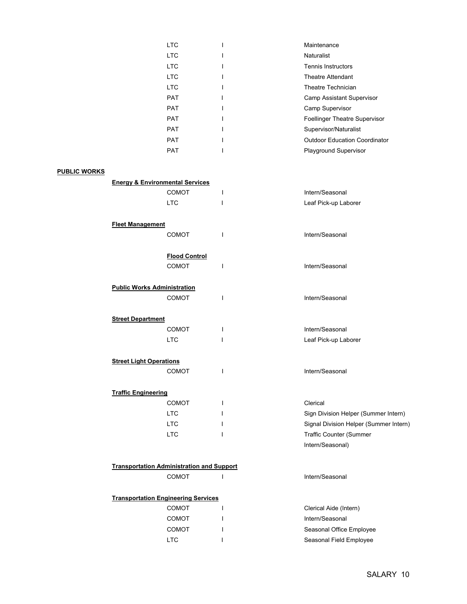| <b>LTC</b> | Maintenance                          |
|------------|--------------------------------------|
| <b>LTC</b> | <b>Naturalist</b>                    |
| LTC.       | <b>Tennis Instructors</b>            |
| LTC.       | <b>Theatre Attendant</b>             |
| LTC.       | Theatre Technician                   |
| <b>PAT</b> | <b>Camp Assistant Supervisor</b>     |
| <b>PAT</b> | Camp Supervisor                      |
| <b>PAT</b> | <b>Foellinger Theatre Supervisor</b> |
| <b>PAT</b> | Supervisor/Naturalist                |
| <b>PAT</b> | <b>Outdoor Education Coordinator</b> |
| <b>PAT</b> | <b>Playground Supervisor</b>         |
|            |                                      |

## PUBLIC WORKS

| <b>Energy &amp; Environmental Services</b>       |              |                                        |
|--------------------------------------------------|--------------|----------------------------------------|
| <b>COMOT</b>                                     | $\mathbf{I}$ | Intern/Seasonal                        |
| <b>LTC</b>                                       | $\mathbf{I}$ | Leaf Pick-up Laborer                   |
| <b>Fleet Management</b>                          |              |                                        |
| COMOT                                            | $\mathbf{I}$ | Intern/Seasonal                        |
| <b>Flood Control</b>                             |              |                                        |
| <b>COMOT</b>                                     | $\mathbf{I}$ | Intern/Seasonal                        |
| <b>Public Works Administration</b>               |              |                                        |
| <b>COMOT</b>                                     | T            | Intern/Seasonal                        |
| <b>Street Department</b>                         |              |                                        |
| <b>COMOT</b>                                     | $\mathbf{I}$ | Intern/Seasonal                        |
| <b>LTC</b>                                       | I            | Leaf Pick-up Laborer                   |
| <b>Street Light Operations</b>                   |              |                                        |
| <b>COMOT</b>                                     | T            | Intern/Seasonal                        |
| <b>Traffic Engineering</b>                       |              |                                        |
| <b>COMOT</b>                                     | $\mathbf{I}$ | Clerical                               |
| <b>LTC</b>                                       | T            | Sign Division Helper (Summer Intern)   |
| <b>LTC</b>                                       |              | Signal Division Helper (Summer Intern) |
| <b>LTC</b>                                       | 1            | <b>Traffic Counter (Summer</b>         |
|                                                  |              | Intern/Seasonal)                       |
| <b>Transportation Administration and Support</b> |              |                                        |
| COMOT                                            | $\mathbf{I}$ | Intern/Seasonal                        |
| <b>Transportation Engineering Services</b>       |              |                                        |
| <b>COMOT</b>                                     | T            | Clerical Aide (Intern)                 |
| <b>COMOT</b>                                     | $\mathbf{I}$ | Intern/Seasonal                        |
| <b>COMOT</b>                                     | ı            | Seasonal Office Employee               |

LTC I I Seasonal Field Employee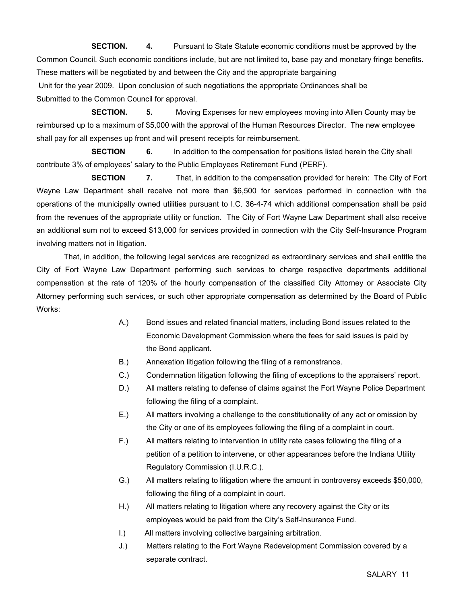SECTION. 4. Pursuant to State Statute economic conditions must be approved by the Common Council. Such economic conditions include, but are not limited to, base pay and monetary fringe benefits. These matters will be negotiated by and between the City and the appropriate bargaining Unit for the year 2009. Upon conclusion of such negotiations the appropriate Ordinances shall be Submitted to the Common Council for approval.

SECTION. 5. Moving Expenses for new employees moving into Allen County may be reimbursed up to a maximum of \$5,000 with the approval of the Human Resources Director. The new employee shall pay for all expenses up front and will present receipts for reimbursement.

**SECTION** 6. In addition to the compensation for positions listed herein the City shall contribute 3% of employees' salary to the Public Employees Retirement Fund (PERF).

**SECTION** 7. That, in addition to the compensation provided for herein: The City of Fort Wayne Law Department shall receive not more than \$6,500 for services performed in connection with the operations of the municipally owned utilities pursuant to I.C. 36-4-74 which additional compensation shall be paid from the revenues of the appropriate utility or function. The City of Fort Wayne Law Department shall also receive an additional sum not to exceed \$13,000 for services provided in connection with the City Self-Insurance Program involving matters not in litigation.

 That, in addition, the following legal services are recognized as extraordinary services and shall entitle the City of Fort Wayne Law Department performing such services to charge respective departments additional compensation at the rate of 120% of the hourly compensation of the classified City Attorney or Associate City Attorney performing such services, or such other appropriate compensation as determined by the Board of Public Works:

- A.) Bond issues and related financial matters, including Bond issues related to the Economic Development Commission where the fees for said issues is paid by the Bond applicant.
- B.) Annexation litigation following the filing of a remonstrance.
- C.) Condemnation litigation following the filing of exceptions to the appraisers' report.
- D.) All matters relating to defense of claims against the Fort Wayne Police Department following the filing of a complaint.
- E.) All matters involving a challenge to the constitutionality of any act or omission by the City or one of its employees following the filing of a complaint in court.
- F.) All matters relating to intervention in utility rate cases following the filing of a petition of a petition to intervene, or other appearances before the Indiana Utility Regulatory Commission (I.U.R.C.).
- G.) All matters relating to litigation where the amount in controversy exceeds \$50,000, following the filing of a complaint in court.
- H.) All matters relating to litigation where any recovery against the City or its employees would be paid from the City's Self-Insurance Fund.
- I.) All matters involving collective bargaining arbitration.
- J.) Matters relating to the Fort Wayne Redevelopment Commission covered by a separate contract.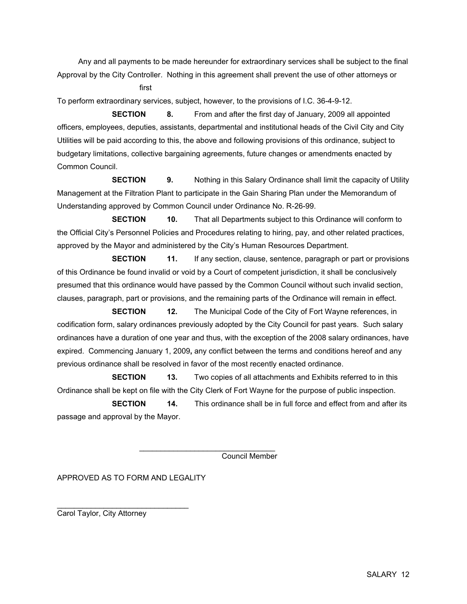Any and all payments to be made hereunder for extraordinary services shall be subject to the final Approval by the City Controller. Nothing in this agreement shall prevent the use of other attorneys or

first

To perform extraordinary services, subject, however, to the provisions of I.C. 36-4-9-12.

 SECTION 8. From and after the first day of January, 2009 all appointed officers, employees, deputies, assistants, departmental and institutional heads of the Civil City and City Utilities will be paid according to this, the above and following provisions of this ordinance, subject to budgetary limitations, collective bargaining agreements, future changes or amendments enacted by Common Council.

**SECTION** 9. Nothing in this Salary Ordinance shall limit the capacity of Utility Management at the Filtration Plant to participate in the Gain Sharing Plan under the Memorandum of Understanding approved by Common Council under Ordinance No. R-26-99.

**SECTION** 10. That all Departments subject to this Ordinance will conform to the Official City's Personnel Policies and Procedures relating to hiring, pay, and other related practices, approved by the Mayor and administered by the City's Human Resources Department.

**SECTION** 11. If any section, clause, sentence, paragraph or part or provisions of this Ordinance be found invalid or void by a Court of competent jurisdiction, it shall be conclusively presumed that this ordinance would have passed by the Common Council without such invalid section, clauses, paragraph, part or provisions, and the remaining parts of the Ordinance will remain in effect.

**SECTION** 12. The Municipal Code of the City of Fort Wayne references, in codification form, salary ordinances previously adopted by the City Council for past years. Such salary ordinances have a duration of one year and thus, with the exception of the 2008 salary ordinances, have expired. Commencing January 1, 2009, any conflict between the terms and conditions hereof and any previous ordinance shall be resolved in favor of the most recently enacted ordinance.

**SECTION** 13. Two copies of all attachments and Exhibits referred to in this Ordinance shall be kept on file with the City Clerk of Fort Wayne for the purpose of public inspection.

 SECTION 14. This ordinance shall be in full force and effect from and after its passage and approval by the Mayor.

Council Member

APPROVED AS TO FORM AND LEGALITY

\_\_\_\_\_\_\_\_\_\_\_\_\_\_\_\_\_\_\_\_\_\_\_\_\_\_\_\_\_\_\_

 $\frac{1}{2}$  , and the set of the set of the set of the set of the set of the set of the set of the set of the set of the set of the set of the set of the set of the set of the set of the set of the set of the set of the set

Carol Taylor, City Attorney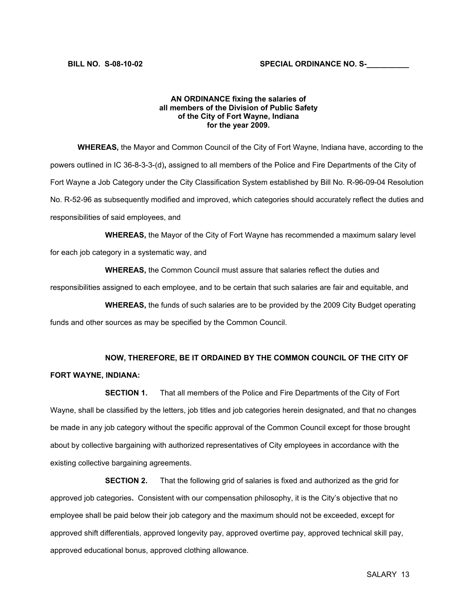#### AN ORDINANCE fixing the salaries of all members of the Division of Public Safety of the City of Fort Wayne, Indiana for the year 2009.

 WHEREAS, the Mayor and Common Council of the City of Fort Wayne, Indiana have, according to the powers outlined in IC 36-8-3-3-(d), assigned to all members of the Police and Fire Departments of the City of Fort Wayne a Job Category under the City Classification System established by Bill No. R-96-09-04 Resolution No. R-52-96 as subsequently modified and improved, which categories should accurately reflect the duties and responsibilities of said employees, and

 WHEREAS, the Mayor of the City of Fort Wayne has recommended a maximum salary level for each job category in a systematic way, and

 WHEREAS, the Common Council must assure that salaries reflect the duties and responsibilities assigned to each employee, and to be certain that such salaries are fair and equitable, and

 WHEREAS, the funds of such salaries are to be provided by the 2009 City Budget operating funds and other sources as may be specified by the Common Council.

# NOW, THEREFORE, BE IT ORDAINED BY THE COMMON COUNCIL OF THE CITY OF

## FORT WAYNE, INDIANA:

 SECTION 1. That all members of the Police and Fire Departments of the City of Fort Wayne, shall be classified by the letters, job titles and job categories herein designated, and that no changes be made in any job category without the specific approval of the Common Council except for those brought about by collective bargaining with authorized representatives of City employees in accordance with the existing collective bargaining agreements.

 SECTION 2. That the following grid of salaries is fixed and authorized as the grid for approved job categories. Consistent with our compensation philosophy, it is the City's objective that no employee shall be paid below their job category and the maximum should not be exceeded, except for approved shift differentials, approved longevity pay, approved overtime pay, approved technical skill pay, approved educational bonus, approved clothing allowance.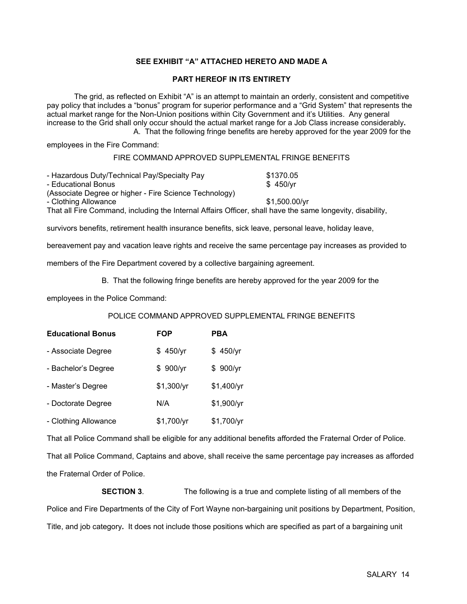## SEE EXHIBIT "A" ATTACHED HERETO AND MADE A

### PART HEREOF IN ITS ENTIRETY

 The grid, as reflected on Exhibit "A" is an attempt to maintain an orderly, consistent and competitive pay policy that includes a "bonus" program for superior performance and a "Grid System" that represents the actual market range for the Non-Union positions within City Government and it's Utilities. Any general increase to the Grid shall only occur should the actual market range for a Job Class increase considerably. A. That the following fringe benefits are hereby approved for the year 2009 for the

employees in the Fire Command:

#### FIRE COMMAND APPROVED SUPPLEMENTAL FRINGE BENEFITS

| - Hazardous Duty/Technical Pay/Specialty Pay                                                              | \$1370.05     |
|-----------------------------------------------------------------------------------------------------------|---------------|
| - Educational Bonus                                                                                       | \$450/vr      |
| (Associate Degree or higher - Fire Science Technology)                                                    |               |
| - Clothing Allowance                                                                                      | \$1.500.00/vr |
| That all Fire Command, including the Internal Affairs Officer, shall have the same longevity, disability, |               |

survivors benefits, retirement health insurance benefits, sick leave, personal leave, holiday leave,

bereavement pay and vacation leave rights and receive the same percentage pay increases as provided to

members of the Fire Department covered by a collective bargaining agreement.

## B. That the following fringe benefits are hereby approved for the year 2009 for the

employees in the Police Command:

## POLICE COMMAND APPROVED SUPPLEMENTAL FRINGE BENEFITS

| <b>Educational Bonus</b> | FOP        | PBA        |
|--------------------------|------------|------------|
| - Associate Degree       | \$450/yr   | \$450/yr   |
| - Bachelor's Degree      | \$900/yr   | \$900/yr   |
| - Master's Degree        | \$1,300/yr | \$1,400/yr |
| - Doctorate Degree       | N/A        | \$1,900/yr |
| - Clothing Allowance     | \$1,700/yr | \$1,700/yr |

That all Police Command shall be eligible for any additional benefits afforded the Fraternal Order of Police. That all Police Command, Captains and above, shall receive the same percentage pay increases as afforded the Fraternal Order of Police.

 SECTION 3. The following is a true and complete listing of all members of the Police and Fire Departments of the City of Fort Wayne non-bargaining unit positions by Department, Position, Title, and job category. It does not include those positions which are specified as part of a bargaining unit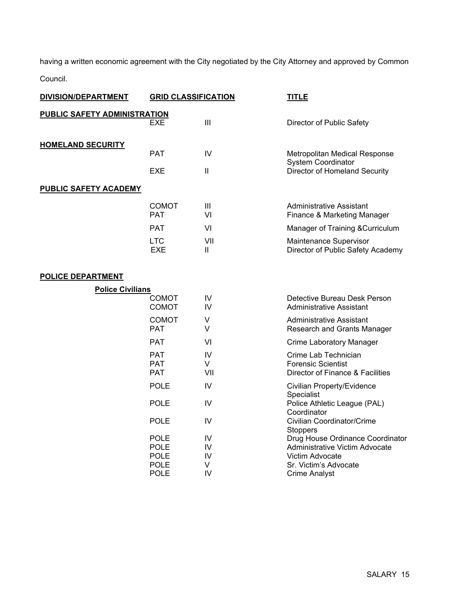having a written economic agreement with the City negotiated by the City Attorney and approved by Common

Council.

| <b>DIVISION/DEPARTMENT</b>          | <b>GRID CLASSIFICATION</b>   |              | <b>TITLE</b>                                                    |
|-------------------------------------|------------------------------|--------------|-----------------------------------------------------------------|
| <b>PUBLIC SAFETY ADMINISTRATION</b> |                              |              |                                                                 |
|                                     | <b>EXE</b>                   | III          | Director of Public Safety                                       |
|                                     |                              |              |                                                                 |
| <b>HOMELAND SECURITY</b>            | <b>PAT</b>                   | IV           | Metropolitan Medical Response                                   |
|                                     |                              |              | System Coordinator                                              |
|                                     | <b>EXE</b>                   | $\mathbf{H}$ | Director of Homeland Security                                   |
| <b>PUBLIC SAFETY ACADEMY</b>        |                              |              |                                                                 |
|                                     | <b>COMOT</b>                 | Ш            | Administrative Assistant                                        |
|                                     | <b>PAT</b>                   | VI           | Finance & Marketing Manager                                     |
|                                     | <b>PAT</b>                   | VI           | Manager of Training & Curriculum                                |
|                                     | <b>LTC</b>                   | VII          | Maintenance Supervisor                                          |
|                                     | <b>EXE</b>                   | Ш            | Director of Public Safety Academy                               |
|                                     |                              |              |                                                                 |
| <b>POLICE DEPARTMENT</b>            |                              |              |                                                                 |
| <b>Police Civilians</b>             |                              |              |                                                                 |
|                                     | <b>COMOT</b><br><b>COMOT</b> | IV<br>IV     | Detective Bureau Desk Person<br><b>Administrative Assistant</b> |
|                                     | <b>COMOT</b>                 | V            | <b>Administrative Assistant</b>                                 |
|                                     | <b>PAT</b>                   | V            | Research and Grants Manager                                     |
|                                     | <b>PAT</b>                   | VI           | <b>Crime Laboratory Manager</b>                                 |
|                                     | <b>PAT</b>                   | IV           | Crime Lab Technician                                            |
|                                     | <b>PAT</b>                   | V            | <b>Forensic Scientist</b>                                       |
|                                     | <b>PAT</b>                   | VII          | Director of Finance & Facilities                                |
|                                     | <b>POLE</b>                  | IV           | Civilian Property/Evidence<br>Specialist                        |
|                                     | <b>POLE</b>                  | IV           | Police Athletic League (PAL)<br>Coordinator                     |
|                                     | <b>POLE</b>                  | IV           | Civilian Coordinator/Crime<br>Stoppers                          |
|                                     | <b>POLE</b>                  | IV           | Drug House Ordinance Coordinator                                |
|                                     | <b>POLE</b>                  | IV           | Administrative Victim Advocate                                  |
|                                     | <b>POLE</b>                  | IV           | Victim Advocate                                                 |
|                                     | <b>POLE</b><br><b>POLE</b>   | V<br>IV      | Sr. Victim's Advocate                                           |
|                                     |                              |              | <b>Crime Analyst</b>                                            |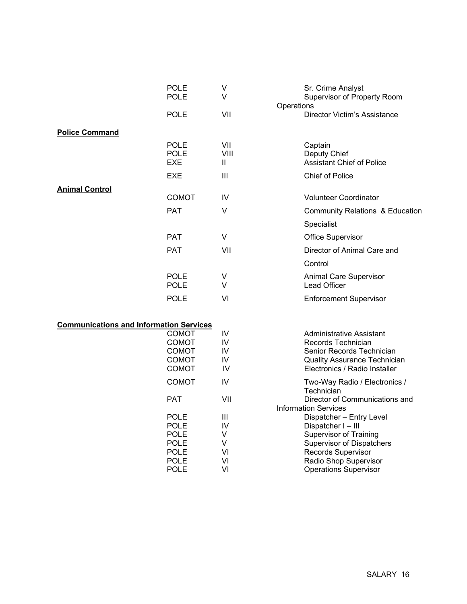|                                                | <b>POLE</b><br><b>POLE</b>                                                                            | V<br>V                              | Operations | Sr. Crime Analyst<br>Supervisor of Property Room                                                                                                                                                 |
|------------------------------------------------|-------------------------------------------------------------------------------------------------------|-------------------------------------|------------|--------------------------------------------------------------------------------------------------------------------------------------------------------------------------------------------------|
|                                                | <b>POLE</b>                                                                                           | VII                                 |            | Director Victim's Assistance                                                                                                                                                                     |
| <b>Police Command</b>                          |                                                                                                       |                                     |            |                                                                                                                                                                                                  |
|                                                | <b>POLE</b><br><b>POLE</b><br><b>EXE</b>                                                              | VII<br>VIII<br>Ш                    |            | Captain<br>Deputy Chief<br><b>Assistant Chief of Police</b>                                                                                                                                      |
|                                                | <b>EXE</b>                                                                                            | Ш                                   |            | <b>Chief of Police</b>                                                                                                                                                                           |
| <b>Animal Control</b>                          | <b>COMOT</b>                                                                                          | IV                                  |            | <b>Volunteer Coordinator</b>                                                                                                                                                                     |
|                                                | <b>PAT</b>                                                                                            | $\vee$                              |            | Community Relations & Education                                                                                                                                                                  |
|                                                |                                                                                                       |                                     |            | Specialist                                                                                                                                                                                       |
|                                                | <b>PAT</b>                                                                                            | $\vee$                              |            | Office Supervisor                                                                                                                                                                                |
|                                                | <b>PAT</b>                                                                                            | VII                                 |            | Director of Animal Care and                                                                                                                                                                      |
|                                                |                                                                                                       |                                     |            | Control                                                                                                                                                                                          |
|                                                | <b>POLE</b><br><b>POLE</b>                                                                            | V<br>V                              |            | Animal Care Supervisor<br><b>Lead Officer</b>                                                                                                                                                    |
|                                                | <b>POLE</b>                                                                                           | VI                                  |            | <b>Enforcement Supervisor</b>                                                                                                                                                                    |
| <b>Communications and Information Services</b> |                                                                                                       |                                     |            |                                                                                                                                                                                                  |
|                                                | <b>COMOT</b><br><b>COMOT</b><br>COMOT<br><b>COMOT</b><br><b>COMOT</b>                                 | IV<br>IV<br>IV<br>IV<br>IV          |            | <b>Administrative Assistant</b><br>Records Technician<br>Senior Records Technician<br><b>Quality Assurance Technician</b><br>Electronics / Radio Installer                                       |
|                                                | <b>COMOT</b>                                                                                          | IV                                  |            | Two-Way Radio / Electronics /<br>Technician                                                                                                                                                      |
|                                                | <b>PAT</b>                                                                                            | VII                                 |            | Director of Communications and<br><b>Information Services</b>                                                                                                                                    |
|                                                | <b>POLE</b><br><b>POLE</b><br><b>POLE</b><br><b>POLE</b><br><b>POLE</b><br><b>POLE</b><br><b>POLE</b> | Ш<br>IV<br>V<br>V<br>VI<br>VI<br>VI |            | Dispatcher - Entry Level<br>Dispatcher I-III<br><b>Supervisor of Training</b><br><b>Supervisor of Dispatchers</b><br>Records Supervisor<br>Radio Shop Supervisor<br><b>Operations Supervisor</b> |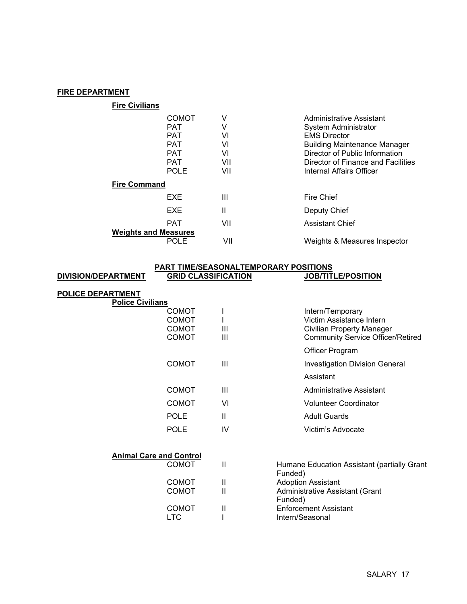## FIRE DEPARTMENT

| <b>Fire Civilians</b>       |                                                        |                    |                                                                                                                       |
|-----------------------------|--------------------------------------------------------|--------------------|-----------------------------------------------------------------------------------------------------------------------|
|                             | <b>COMOT</b><br><b>PAT</b><br><b>PAT</b><br><b>PAT</b> | V<br>V<br>VI<br>VI | Administrative Assistant<br><b>System Administrator</b><br><b>EMS Director</b><br><b>Building Maintenance Manager</b> |
|                             | <b>PAT</b><br><b>PAT</b><br><b>POLE</b>                | VI<br>VII<br>VII   | Director of Public Information<br>Director of Finance and Facilities<br>Internal Affairs Officer                      |
| <b>Fire Command</b>         |                                                        |                    |                                                                                                                       |
|                             | <b>EXE</b>                                             | Ш                  | Fire Chief                                                                                                            |
|                             | EXE                                                    | Ш                  | Deputy Chief                                                                                                          |
| <b>Weights and Measures</b> | <b>PAT</b>                                             | VII                | <b>Assistant Chief</b>                                                                                                |
|                             | POLE                                                   | VII                | Weights & Measures Inspector                                                                                          |

#### PART TIME/SEASONALTEMPORARY POSITIONS DIVISION/DEPARTMENT GRID CLASSIFICATION JOB/TITLE/POSITION

| <b>POLICE DEPARTMENT</b> |                                                                                         |                                       |                                                                                                                       |
|--------------------------|-----------------------------------------------------------------------------------------|---------------------------------------|-----------------------------------------------------------------------------------------------------------------------|
|                          | <b>Police Civilians</b><br><b>COMOT</b><br><b>COMOT</b><br><b>COMOT</b><br><b>COMOT</b> | Ш<br>$\mathbf{III}$                   | Intern/Temporary<br>Victim Assistance Intern<br>Civilian Property Manager<br><b>Community Service Officer/Retired</b> |
|                          |                                                                                         |                                       | <b>Officer Program</b>                                                                                                |
|                          | <b>COMOT</b>                                                                            | $\mathbf{III}$                        | <b>Investigation Division General</b>                                                                                 |
|                          |                                                                                         |                                       | Assistant                                                                                                             |
|                          | <b>COMOT</b>                                                                            | Ш                                     | Administrative Assistant                                                                                              |
|                          | <b>COMOT</b>                                                                            | VI                                    | <b>Volunteer Coordinator</b>                                                                                          |
|                          | <b>POLE</b>                                                                             | $\mathbf{H}$                          | <b>Adult Guards</b>                                                                                                   |
|                          | <b>POLE</b>                                                                             | IV                                    | Victim's Advocate                                                                                                     |
|                          | <b>Animal Care and Control</b>                                                          |                                       |                                                                                                                       |
|                          | <b>COMOT</b>                                                                            | $\mathbf{I}$                          | Humane Education Assistant (partially Grant<br>Funded)                                                                |
|                          | <b>COMOT</b><br><b>COMOT</b>                                                            | $\mathbf{H}$<br>$\mathbf{\mathsf{I}}$ | <b>Adoption Assistant</b><br>Administrative Assistant (Grant<br>Funded)                                               |
|                          | <b>COMOT</b><br><b>LTC</b>                                                              | Ш                                     | <b>Enforcement Assistant</b><br>Intern/Seasonal                                                                       |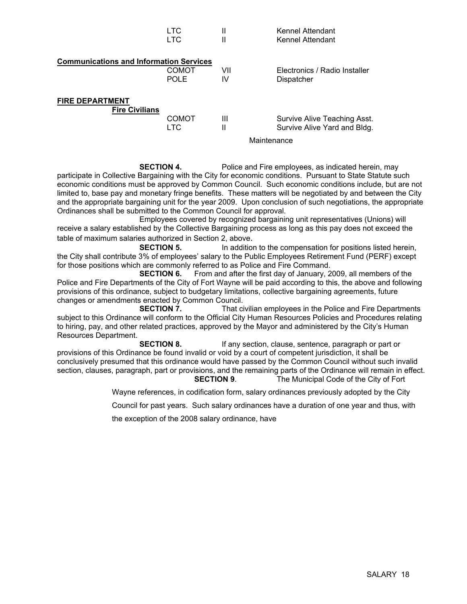|                                                 | LTC<br>LTC.                 | Ш<br>Ш    | Kennel Attendant<br>Kennel Attendant                         |  |
|-------------------------------------------------|-----------------------------|-----------|--------------------------------------------------------------|--|
| <b>Communications and Information Services</b>  | <b>COMOT</b><br><b>POLE</b> | VII<br>IV | Electronics / Radio Installer<br>Dispatcher                  |  |
| <b>FIRE DEPARTMENT</b><br><b>Fire Civilians</b> | COMOT<br>LTC.               | Ш<br>Ш    | Survive Alive Teaching Asst.<br>Survive Alive Yard and Bldg. |  |
|                                                 |                             |           | Maintenance                                                  |  |

**SECTION 4.** Police and Fire employees, as indicated herein, may participate in Collective Bargaining with the City for economic conditions. Pursuant to State Statute such economic conditions must be approved by Common Council. Such economic conditions include, but are not limited to, base pay and monetary fringe benefits. These matters will be negotiated by and between the City and the appropriate bargaining unit for the year 2009. Upon conclusion of such negotiations, the appropriate Ordinances shall be submitted to the Common Council for approval.

 Employees covered by recognized bargaining unit representatives (Unions) will receive a salary established by the Collective Bargaining process as long as this pay does not exceed the table of maximum salaries authorized in Section 2, above.

**SECTION 5.** In addition to the compensation for positions listed herein, the City shall contribute 3% of employees' salary to the Public Employees Retirement Fund (PERF) except for those positions which are commonly referred to as Police and Fire Command.

 SECTION 6. From and after the first day of January, 2009, all members of the Police and Fire Departments of the City of Fort Wayne will be paid according to this, the above and following provisions of this ordinance, subject to budgetary limitations, collective bargaining agreements, future changes or amendments enacted by Common Council.

 SECTION 7. That civilian employees in the Police and Fire Departments subject to this Ordinance will conform to the Official City Human Resources Policies and Procedures relating to hiring, pay, and other related practices, approved by the Mayor and administered by the City's Human Resources Department.

**SECTION 8.** If any section, clause, sentence, paragraph or part or provisions of this Ordinance be found invalid or void by a court of competent jurisdiction, it shall be conclusively presumed that this ordinance would have passed by the Common Council without such invalid section, clauses, paragraph, part or provisions, and the remaining parts of the Ordinance will remain in effect. SECTION 9. The Municipal Code of the City of Fort

Wayne references, in codification form, salary ordinances previously adopted by the City

Council for past years. Such salary ordinances have a duration of one year and thus, with

the exception of the 2008 salary ordinance, have